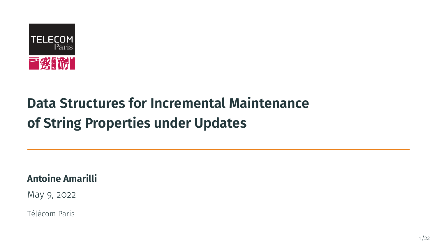

# **Data Structures for Incremental Maintenance of String Properties under Updates**

**Antoine Amarilli**

May 9, 2022

Télécom Paris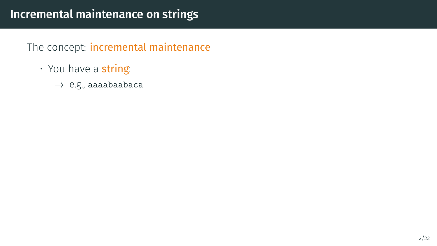- You have a string:
	- $\rightarrow$  e.g., aaaabaabaca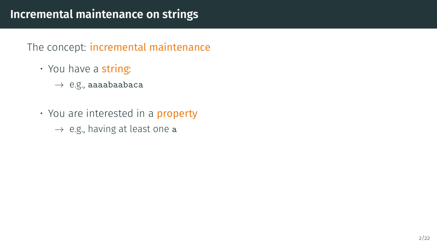- You have a string:
	- $\rightarrow$  e.g., aaaabaabaca
- You are interested in a **property** 
	- $\rightarrow$  e.g., having at least one a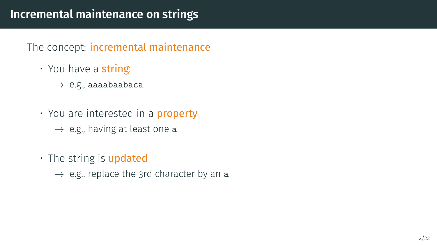- You have a string:
	- $\rightarrow$  e.g., aaaabaabaca
- You are interested in a **property** 
	- $\rightarrow$  e.g., having at least one a
- $\cdot$  The string is updated
	- $\rightarrow$  e.g., replace the 3rd character by an a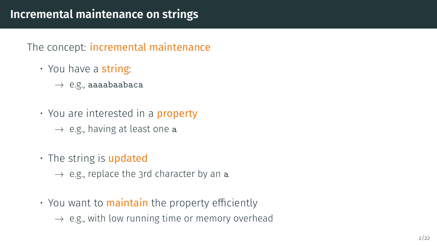- You have a string:
	- $\rightarrow$  e.g., aaaabaabaca
- You are interested in a **property** 
	- $\rightarrow$  e.g., having at least one a
- $\cdot$  The string is updated
	- $\rightarrow$  e.g., replace the 3rd character by an a
- You want to **maintain** the property efficiently
	- $\rightarrow$  e.g., with low running time or memory overhead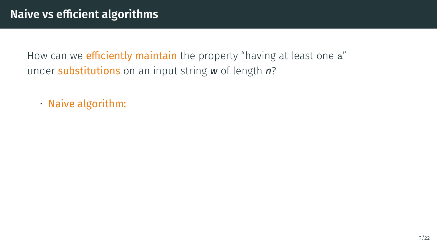• Naive algorithm: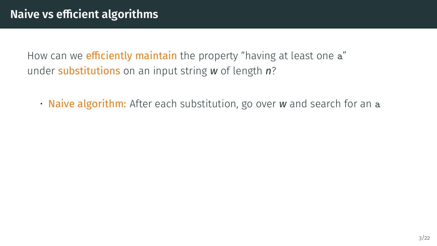• Naive algorithm: After each substitution, go over *w* and search for an a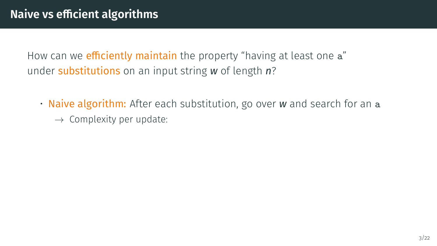• Naive algorithm: After each substitution, go over *w* and search for an a  $\rightarrow$  Complexity per update: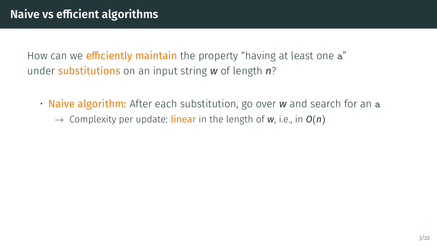• Naive algorithm: After each substitution, go over *w* and search for an a  $\rightarrow$  Complexity per update: **linear** in the length of w, i.e., in  $O(n)$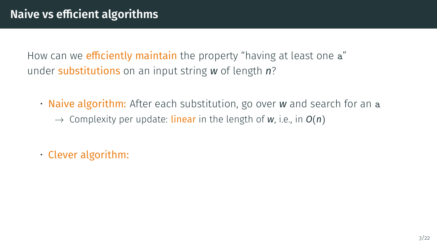- Naive algorithm: After each substitution, go over *w* and search for an a  $\rightarrow$  Complexity per update: **linear** in the length of w, i.e., in  $O(n)$
- Clever algorithm: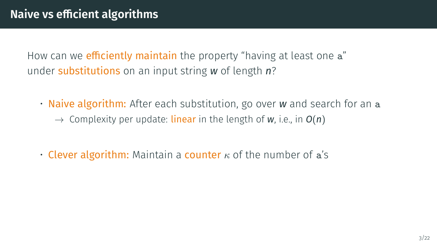- Naive algorithm: After each substitution, go over *w* and search for an a  $\rightarrow$  Complexity per update: **linear** in the length of w, i.e., in  $O(n)$
- Clever algorithm: Maintain a counter  $\kappa$  of the number of a's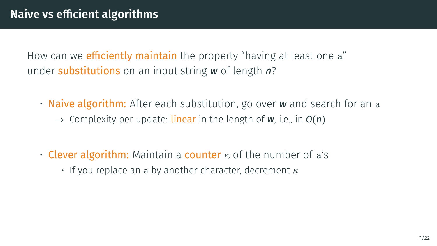- Naive algorithm: After each substitution, go over *w* and search for an a  $\rightarrow$  Complexity per update: **linear** in the length of w, i.e., in  $O(n)$
- Clever algorithm: Maintain a counter  $\kappa$  of the number of a's
	- If you replace an a by another character, decrement  $\kappa$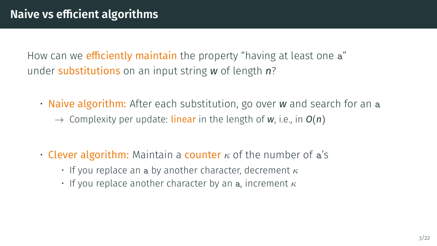- Naive algorithm: After each substitution, go over *w* and search for an a  $\rightarrow$  Complexity per update: **linear** in the length of w, i.e., in  $O(n)$
- Clever algorithm: Maintain a counter  $\kappa$  of the number of a's
	- If you replace an a by another character, decrement  $\kappa$
	- If you replace another character by an a, increment  $\kappa$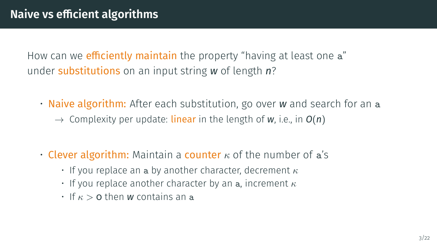- Naive algorithm: After each substitution, go over *w* and search for an a  $\rightarrow$  Complexity per update: **linear** in the length of w, i.e., in  $O(n)$
- Clever algorithm: Maintain a counter  $\kappa$  of the number of a's
	- If you replace an a by another character, decrement  $\kappa$
	- If you replace another character by an a, increment  $\kappa$
	- $\cdot$  If  $\kappa > 0$  then *w* contains an a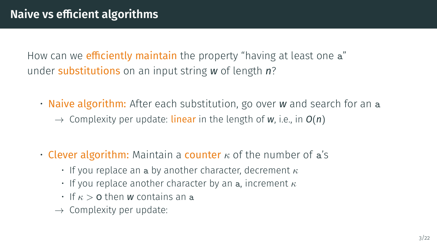• Naive algorithm: After each substitution, go over *w* and search for an a  $\rightarrow$  Complexity per update: **linear** in the length of w, i.e., in  $O(n)$ 

- Clever algorithm: Maintain a counter  $\kappa$  of the number of a's
	- If you replace an a by another character, decrement  $\kappa$
	- If you replace another character by an a, increment  $\kappa$
	- $\cdot$  If  $\kappa > 0$  then *w* contains an a
	- $\rightarrow$  Complexity per update: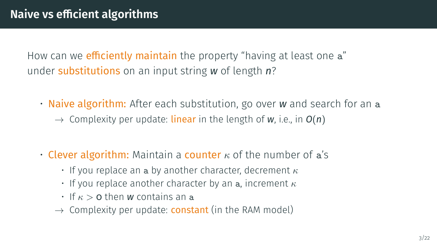• Naive algorithm: After each substitution, go over *w* and search for an a  $\rightarrow$  Complexity per update: **linear** in the length of w, i.e., in  $O(n)$ 

- Clever algorithm: Maintain a counter  $\kappa$  of the number of a's
	- If you replace an a by another character, decrement  $\kappa$
	- If you replace another character by an a, increment  $\kappa$
	- $\cdot$  If  $\kappa > 0$  then *w* contains an a
	- $\rightarrow$  Complexity per update: **constant** (in the RAM model)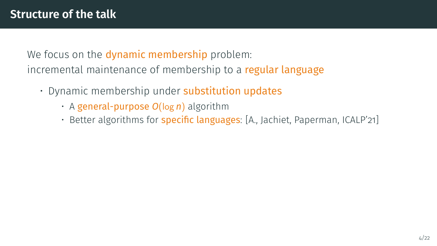We focus on the **dynamic membership** problem: incremental maintenance of membership to a regular language

- Dynamic membership under **substitution updates** 
	- A general-purpose *O*(log *n*) algorithm
	- Better algorithms for *specific languages*: [A., Jachiet, Paperman, ICALP'21]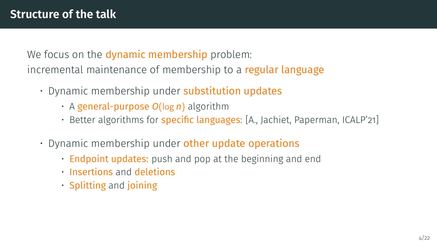We focus on the **dynamic membership** problem: incremental maintenance of membership to a regular language

- Dynamic membership under substitution updates
	- A general-purpose *O*(log *n*) algorithm
	- Better algorithms for **specific languages**: [A., Jachiet, Paperman, ICALP'21]
- $\cdot$  Dynamic membership under other update operations
	- Endpoint updates: push and pop at the beginning and end
	- Insertions and deletions
	- Splitting and joining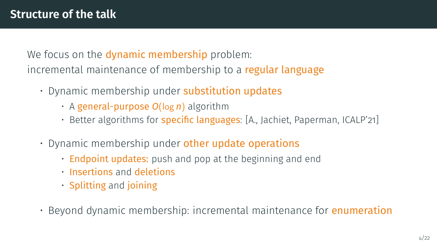We focus on the **dynamic membership** problem: incremental maintenance of membership to a regular language

- Dynamic membership under substitution updates
	- A general-purpose *O*(log *n*) algorithm
	- Better algorithms for **specific languages**: [A., Jachiet, Paperman, ICALP'21]
- $\cdot$  Dynamic membership under other update operations
	- Endpoint updates: push and pop at the beginning and end
	- Insertions and deletions
	- Splitting and joining
- Beyond dynamic membership: incremental maintenance for enumeration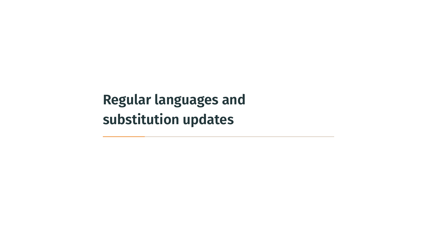<span id="page-19-0"></span>**[Regular languages and](#page-19-0) [substitution updates](#page-19-0)**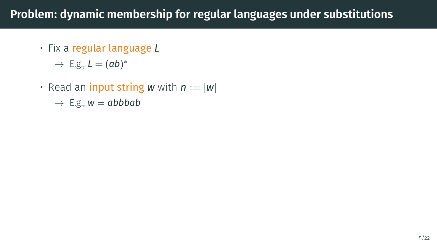## **Problem: dynamic membership for regular languages under substitutions**

• Fix a regular language *L*

 $\rightarrow$  E.g.,  $L = (ab)^*$ 

 $\cdot$  Read an **input string** w with  $n := |w|$ 

 $\rightarrow$  E.g.,  $w = abbbab$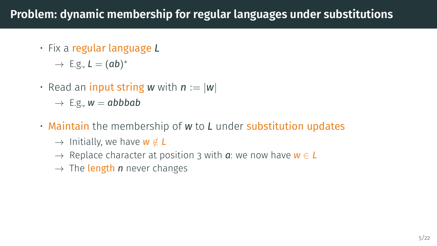## **Problem: dynamic membership for regular languages under substitutions**

• Fix a regular language *L*

 $\rightarrow$  E.g.,  $L = (ab)^*$ 

• Read an **input string** w with  $n := |w|$ 

 $\rightarrow$  E.g.,  $w = abbbab$ 

- Maintain the membership of *w* to *L* under substitution updates
	- $\rightarrow$  Initially, we have **w**  $\notin$  **L**
	- → Replace character at position 3 with *a*: we now have *w* ∈ *L*
	- $\rightarrow$  The **length** *n* never changes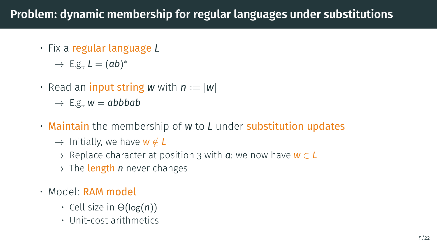## **Problem: dynamic membership for regular languages under substitutions**

• Fix a regular language *L*

 $\rightarrow$  E.g.,  $L = (ab)^*$ 

• Read an **input string** w with  $n := |w|$ 

 $\rightarrow$  E.g.,  $w = abbbab$ 

- Maintain the membership of *w* to *L* under substitution updates
	- $\rightarrow$  Initially, we have **w**  $\notin$  **L**
	- → Replace character at position 3 with *a*: we now have *w* ∈ *L*
	- $\rightarrow$  The **length** *n* never changes
- Model: RAM model
	- Cell size in Θ(log(*n*))
	- Unit-cost arithmetics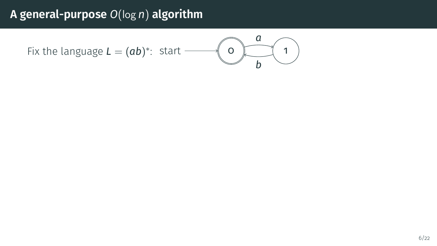Fix the language *L* = (*ab*) ∗ : start 0 1 *a b*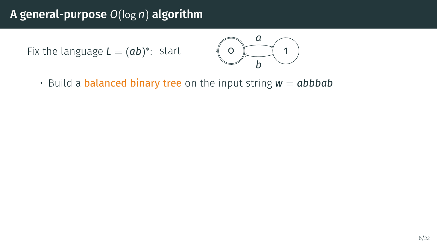Fix the language *L* = (*ab*) ∗ : start 0 1 *a b*

 $\cdot$  Build a **balanced binary tree** on the input string  $w = abbbab$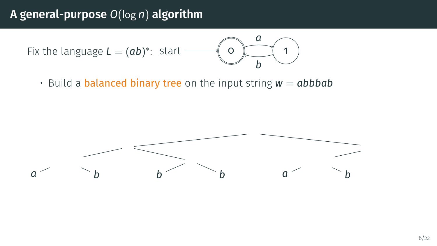Fix the language *L* = (*ab*) ∗ : start 0 1 *a b*

 $\cdot$  Build a **balanced binary tree** on the input string  $w = abbbab$ 

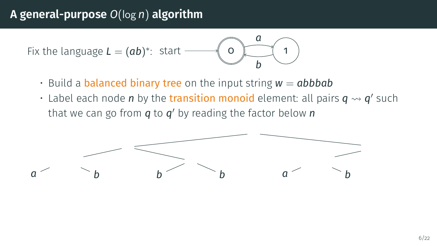Fix the language *L* = (*ab*) ∗ : start 0 1 *a b*

- $\cdot$  Build a **balanced binary tree** on the input string  $w = abbbab$
- $\cdot$  Label each node  $n$  by the transition monoid element: all pairs  $q \leadsto q'$  such that we can go from *q* to *q* ′ by reading the factor below *n*

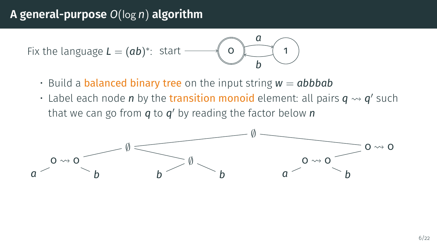Fix the language *L* = (*ab*) ∗ : start 0 1 *a b*

- $\cdot$  Build a **balanced binary tree** on the input string  $w = abbbab$
- $\cdot$  Label each node  $n$  by the transition monoid element: all pairs  $q \leadsto q'$  such that we can go from *q* to *q* ′ by reading the factor below *n*

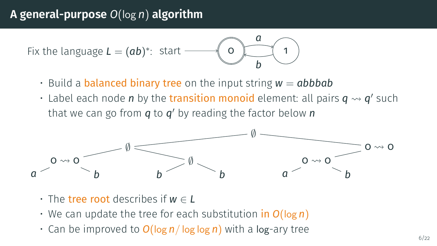Fix the language *L* = (*ab*) ∗ : start 0 1 *a b*

- $\cdot$  Build a **balanced binary tree** on the input string  $w = abbbab$
- $\cdot$  Label each node  $n$  by the transition monoid element: all pairs  $q \leadsto q'$  such that we can go from *q* to *q* ′ by reading the factor below *n*



- The tree root describes if *w* ∈ *L*
- We can update the tree for each substitution in *O*(log *n*)
- Can be improved to *O*(log *n*/ log log *n*) with a log-ary tree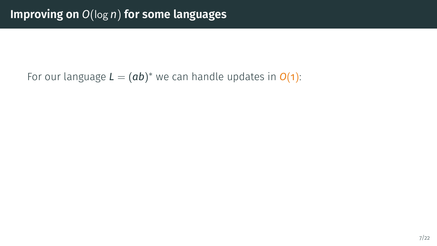#### For our language  $L = (ab)^*$  we can handle updates in  $O(1)$ :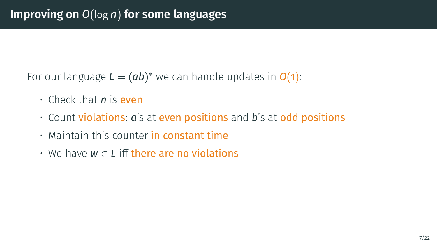For our language  $L = (ab)^*$  we can handle updates in  $O(1)$ :

- Check that *n* is even
- Count violations: *a*'s at even positions and *b*'s at odd positions
- Maintain this counter in constant time
- We have *w* ∈ *L* iff there are no violations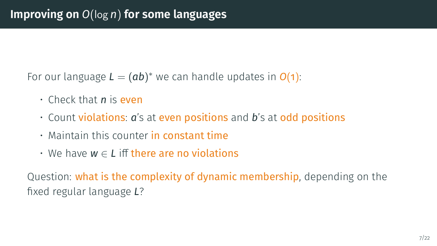For our language  $L = (ab)^*$  we can handle updates in  $O(1)$ :

- Check that *n* is even
- Count violations: *a*'s at even positions and *b*'s at odd positions
- Maintain this counter in constant time
- We have *w* ∈ *L* iff there are no violations

Question: what is the complexity of dynamic membership, depending on the fixed regular language *L*?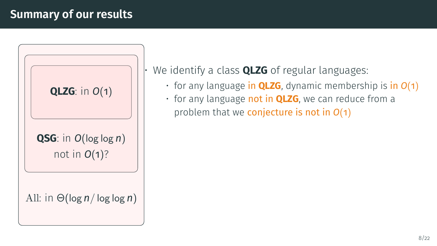#### **Summary of our results**



• We identify a class **QLZG** of regular languages:

- for any language in **QLZG**, dynamic membership is in *O*(1)
- for any language not in **QLZG**, we can reduce from a problem that we conjecture is not in *O*(1)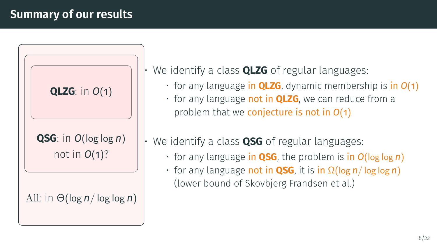#### **Summary of our results**



• We identify a class **QLZG** of regular languages:

- for any language in **QLZG**, dynamic membership is in *O*(1)
- for any language not in **QLZG**, we can reduce from a problem that we conjecture is not in *O*(1)
- We identify a class **QSG** of regular languages:
	- for any language in **QSG**, the problem is in *O*(log log *n*)
	- for any language not in **QSG**, it is in Ω(log *n*/ log log *n*) (lower bound of Skovbjerg Frandsen et al.)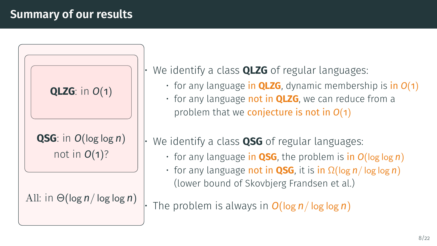#### **Summary of our results**



• We identify a class **QLZG** of regular languages:

- for any language in **QLZG**, dynamic membership is in *O*(1)
- for any language not in **QLZG**, we can reduce from a problem that we conjecture is not in *O*(1)
- We identify a class **QSG** of regular languages:
	- for any language in **QSG**, the problem is in *O*(log log *n*)
	- for any language not in **QSG**, it is in Ω(log *n*/ log log *n*) (lower bound of Skovbjerg Frandsen et al.)

• The problem is always in *O*(log *n*/ log log *n*)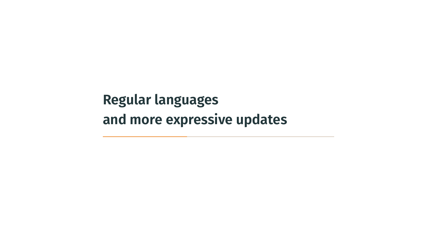<span id="page-35-0"></span>**[Regular languages](#page-35-0) [and more expressive updates](#page-35-0)**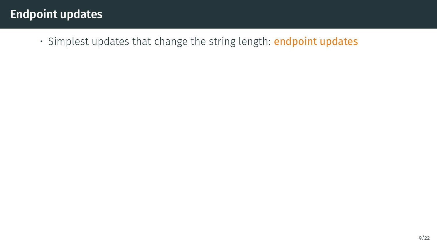• Simplest updates that change the string length: endpoint updates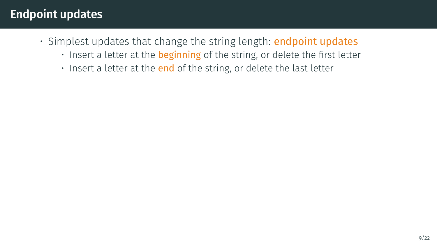- Simplest updates that change the string length: endpoint updates
	- Insert a letter at the **beginning** of the string, or delete the first letter
	- Insert a letter at the **end** of the string, or delete the last letter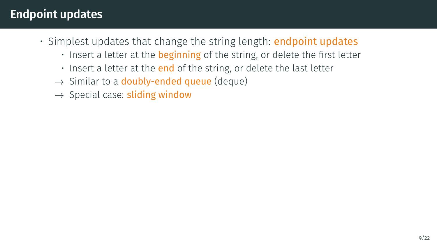- Simplest updates that change the string length: **endpoint updates** 
	- Insert a letter at the **beginning** of the string, or delete the first letter
	- Insert a letter at the end of the string, or delete the last letter
	- $\rightarrow$  Similar to a **doubly-ended queue** (deque)
	- $\rightarrow$  Special case: sliding window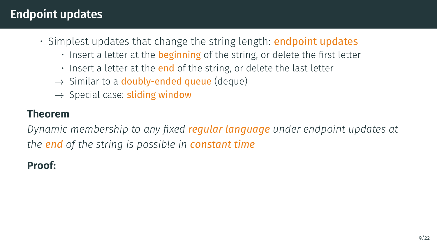- Simplest updates that change the string length: **endpoint updates** 
	- $\cdot$  Insert a letter at the **beginning** of the string, or delete the first letter
	- $\cdot$  Insert a letter at the **end** of the string, or delete the last letter
	- $\rightarrow$  Similar to a **doubly-ended queue** (deque)
	- $\rightarrow$  Special case: sliding window

#### **Theorem**

*Dynamic membership to any fixed regular language under endpoint updates at the end of the string is possible in constant time*

#### **Proof:**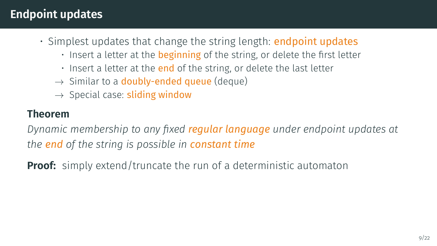- Simplest updates that change the string length: **endpoint updates** 
	- Insert a letter at the **beginning** of the string, or delete the first letter
	- $\cdot$  Insert a letter at the **end** of the string, or delete the last letter
	- $\rightarrow$  Similar to a **doubly-ended queue** (deque)
	- $\rightarrow$  Special case: sliding window

#### **Theorem**

*Dynamic membership to any fixed regular language under endpoint updates at the end of the string is possible in constant time*

**Proof:** simply extend/truncate the run of a deterministic automaton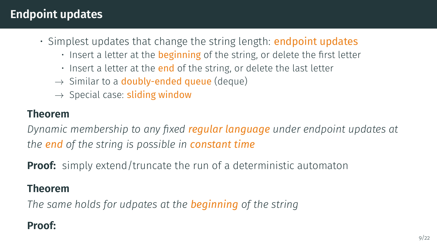- Simplest updates that change the string length: **endpoint updates** 
	- Insert a letter at the **beginning** of the string, or delete the first letter
	- $\cdot$  Insert a letter at the **end** of the string, or delete the last letter
	- $\rightarrow$  Similar to a **doubly-ended queue** (deque)
	- $\rightarrow$  Special case: sliding window

#### **Theorem**

*Dynamic membership to any fixed regular language under endpoint updates at the end of the string is possible in constant time*

**Proof:** simply extend/truncate the run of a deterministic automaton

#### **Theorem**

*The same holds for udpates at the beginning of the string*

#### **Proof:**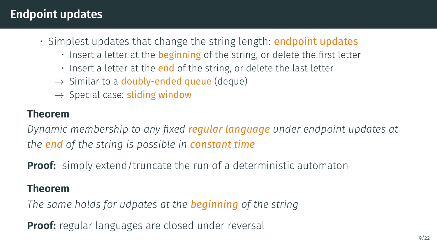- Simplest updates that change the string length: **endpoint updates** 
	- Insert a letter at the **beginning** of the string, or delete the first letter
	- $\cdot$  Insert a letter at the **end** of the string, or delete the last letter
	- $\rightarrow$  Similar to a **doubly-ended queue** (deque)
	- $\rightarrow$  Special case: sliding window

#### **Theorem**

*Dynamic membership to any fixed regular language under endpoint updates at the end of the string is possible in constant time*

**Proof:** simply extend/truncate the run of a deterministic automaton

#### **Theorem**

*The same holds for udpates at the beginning of the string*

**Proof:** regular languages are closed under reversal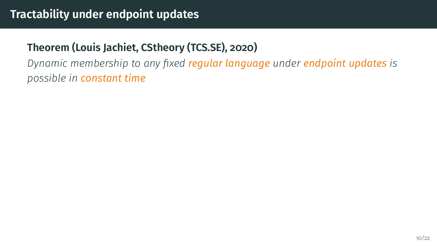*Dynamic membership to any fixed regular language under endpoint updates is possible in constant time*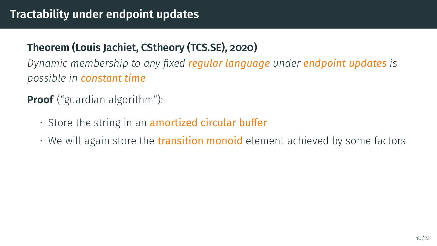*Dynamic membership to any fixed regular language under endpoint updates is possible in constant time*

**Proof** ("guardian algorithm"):

- $\cdot$  Store the string in an amortized circular buffer
- We will again store the transition monoid element achieved by some factors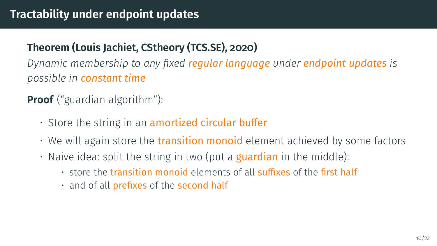*Dynamic membership to any fixed regular language under endpoint updates is possible in constant time*

**Proof** ("guardian algorithm"):

- $\cdot$  Store the string in an amortized circular buffer
- We will again store the transition monoid element achieved by some factors
- Naive idea: split the string in two (put a **guardian** in the middle):
	- store the transition monoid elements of all suffixes of the first half
	- and of all prefixes of the second half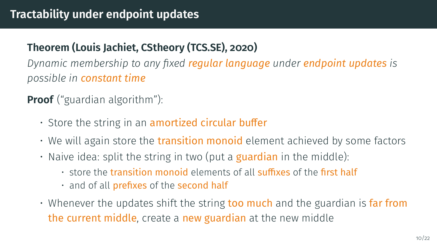*Dynamic membership to any fixed regular language under endpoint updates is possible in constant time*

**Proof** ("guardian algorithm"):

- $\cdot$  Store the string in an amortized circular buffer
- We will again store the transition monoid element achieved by some factors
- Naive idea: split the string in two (put a **guardian** in the middle):
	- store the transition monoid elements of all suffixes of the first half
	- and of all prefixes of the second half
- $\cdot$  Whenever the updates shift the string too much and the guardian is far from the current middle, create a new guardian at the new middle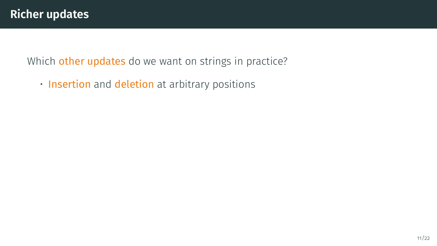• Insertion and deletion at arbitrary positions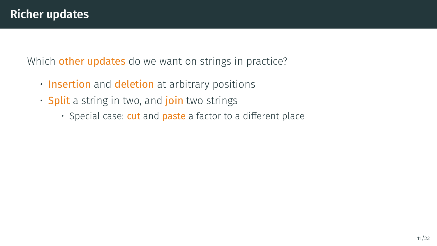- Insertion and deletion at arbitrary positions
- Split a string in two, and join two strings
	- Special case: cut and paste a factor to a different place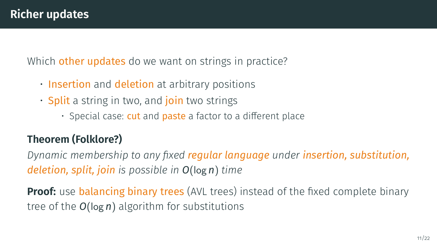- Insertion and deletion at arbitrary positions
- **Split** a string in two, and **join** two strings
	- Special case: cut and paste a factor to a different place

# **Theorem (Folklore?)**

*Dynamic membership to any fixed regular language under insertion, substitution, deletion, split, join is possible in O*(log *n*) *time*

**Proof:** use balancing binary trees (AVL trees) instead of the fixed complete binary tree of the *O*(log *n*) algorithm for substitutions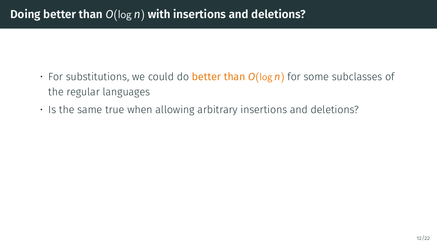## **Doing better than** *O*(log *n*) **with insertions and deletions?**

- For substitutions, we could do better than *O*(log *n*) for some subclasses of the regular languages
- Is the same true when allowing arbitrary insertions and deletions?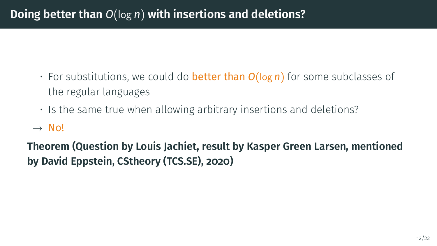## **Doing better than** *O*(log *n*) **with insertions and deletions?**

- For substitutions, we could do better than *O*(log *n*) for some subclasses of the regular languages
- Is the same true when allowing arbitrary insertions and deletions?

#### $\rightarrow$  No!

**Theorem (Question by Louis Jachiet, result by Kasper Green Larsen, mentioned by David Eppstein, CStheory (TCS.SE), 2020)**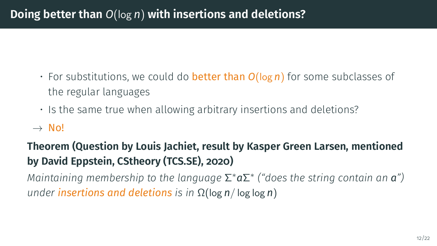# **Doing better than** *O*(log *n*) **with insertions and deletions?**

- For substitutions, we could do better than *O*(log *n*) for some subclasses of the regular languages
- Is the same true when allowing arbitrary insertions and deletions?

#### $\rightarrow$  No!

# **Theorem (Question by Louis Jachiet, result by Kasper Green Larsen, mentioned by David Eppstein, CStheory (TCS.SE), 2020)**

*Maintaining membership to the language* Σ <sup>∗</sup>*a*Σ ∗ *("does the string contain an a") under insertions and deletions is in* Ω(log *n*/ log log *n*)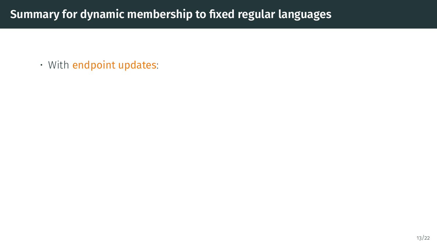• With endpoint updates: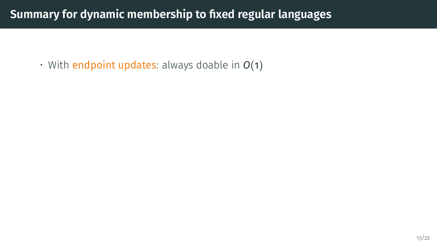• With endpoint updates: always doable in *O*(1)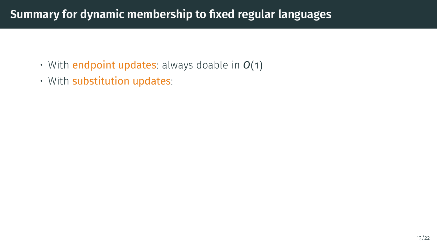- With endpoint updates: always doable in *O*(1)
- With substitution updates: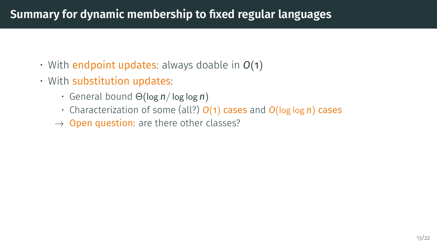- With endpoint updates: always doable in *O*(1)
- With substitution updates:
	- General bound Θ(log *n*/ log log *n*)
	- Characterization of some (all?) *O*(1) cases and *O*(log log *n*) cases
	- $\rightarrow$  Open question: are there other classes?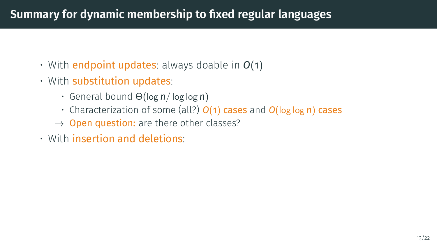- With endpoint updates: always doable in *O*(1)
- With substitution updates:
	- General bound Θ(log *n*/ log log *n*)
	- Characterization of some (all?) *O*(1) cases and *O*(log log *n*) cases
	- $\rightarrow$  Open question: are there other classes?
- With insertion and deletions: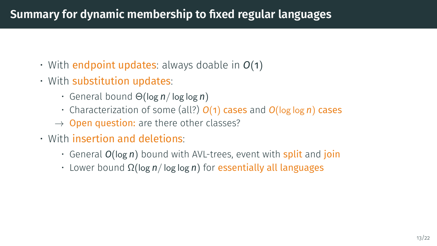- With endpoint updates: always doable in *O*(1)
- With substitution updates:
	- General bound Θ(log *n*/ log log *n*)
	- Characterization of some (all?) *O*(1) cases and *O*(log log *n*) cases
	- $\rightarrow$  Open question: are there other classes?
- With insertion and deletions:
	- General *O*(log *n*) bound with AVL-trees, event with split and join
	- Lower bound Ω(log *n*/ log log *n*) for essentially all languages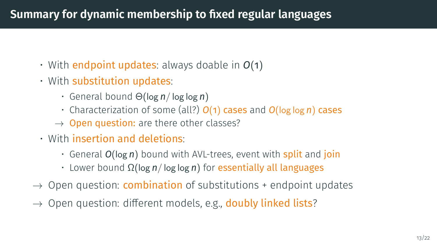- With endpoint updates: always doable in *O*(1)
- With substitution updates:
	- General bound Θ(log *n*/ log log *n*)
	- Characterization of some (all?) *O*(1) cases and *O*(log log *n*) cases
	- $\rightarrow$  Open question: are there other classes?
- With insertion and deletions:
	- General *O*(log *n*) bound with AVL-trees, event with split and join
	- Lower bound Ω(log *n*/ log log *n*) for essentially all languages
- $\rightarrow$  Open question: **combination** of substitutions + endpoint updates
- $\rightarrow$  Open question: different models, e.g., **doubly linked lists**?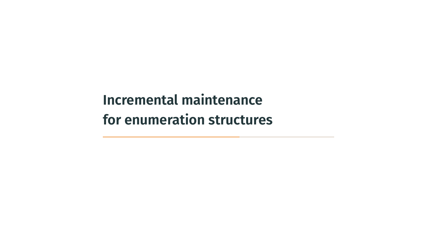<span id="page-61-0"></span>**[Incremental maintenance](#page-61-0) [for enumeration structures](#page-61-0)**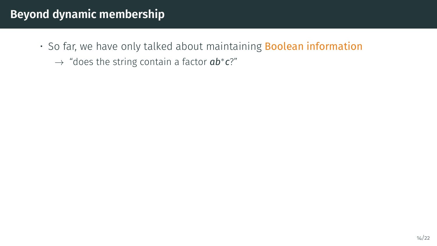- So far, we have only talked about maintaining Boolean information
	- → "does the string contain a factor *ab*<sup>∗</sup> *c*?"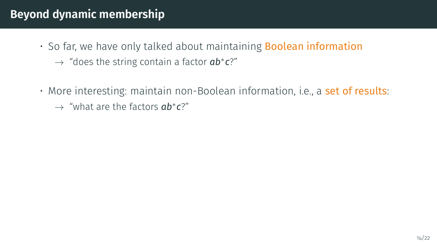- So far, we have only talked about maintaining **Boolean information** 
	- → "does the string contain a factor *ab*<sup>∗</sup> *c*?"
- More interesting: maintain non-Boolean information, i.e., a set of results: → "what are the factors *ab*<sup>∗</sup> *c*?"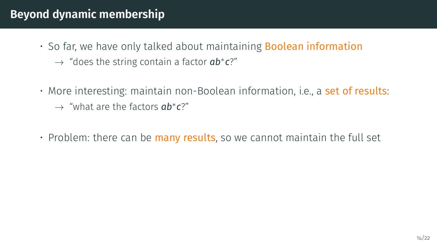- So far, we have only talked about maintaining **Boolean information** → "does the string contain a factor *ab*<sup>∗</sup> *c*?"
- More interesting: maintain non-Boolean information, i.e., a set of results: → "what are the factors *ab*<sup>∗</sup> *c*?"
- $\cdot$  Problem: there can be many results, so we cannot maintain the full set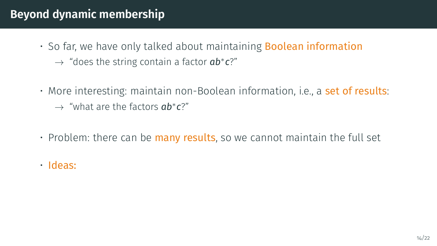- So far, we have only talked about maintaining **Boolean information** → "does the string contain a factor *ab*<sup>∗</sup> *c*?"
- More interesting: maintain non-Boolean information, i.e., a set of results: → "what are the factors *ab*<sup>∗</sup> *c*?"
- $\cdot$  Problem: there can be many results, so we cannot maintain the full set
- Ideas: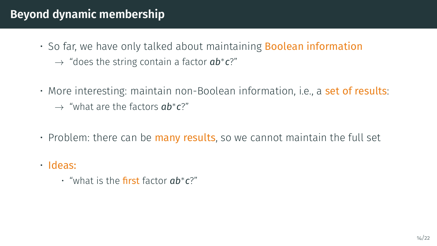- So far, we have only talked about maintaining **Boolean information** → "does the string contain a factor *ab*<sup>∗</sup> *c*?"
- More interesting: maintain non-Boolean information, i.e., a set of results: → "what are the factors *ab*<sup>∗</sup> *c*?"
- $\cdot$  Problem: there can be many results, so we cannot maintain the full set
- Ideas:
	- "what is the first factor *ab*<sup>∗</sup> *c*?"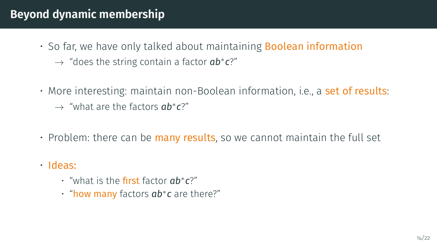- So far, we have only talked about maintaining **Boolean information** → "does the string contain a factor *ab*<sup>∗</sup> *c*?"
- More interesting: maintain non-Boolean information, i.e., a set of results: → "what are the factors *ab*<sup>∗</sup> *c*?"
- $\cdot$  Problem: there can be many results, so we cannot maintain the full set
- Ideas:
	- "what is the first factor *ab*<sup>∗</sup> *c*?"
	- "how many factors *ab*<sup>∗</sup> *c* are there?"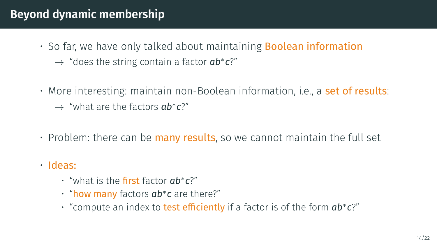- So far, we have only talked about maintaining **Boolean information** → "does the string contain a factor *ab*<sup>∗</sup> *c*?"
- More interesting: maintain non-Boolean information, i.e., a set of results: → "what are the factors *ab*<sup>∗</sup> *c*?"
- $\cdot$  Problem: there can be many results, so we cannot maintain the full set
- Ideas:
	- "what is the first factor *ab*<sup>∗</sup> *c*?"
	- "how many factors *ab*<sup>∗</sup> *c* are there?"
	- "compute an index to test efficiently if a factor is of the form *ab*<sup>∗</sup> *c*?"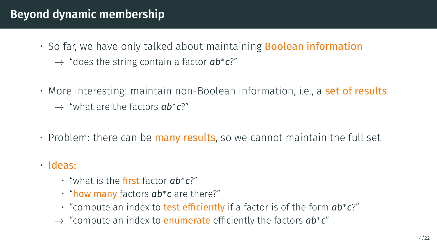- So far, we have only talked about maintaining **Boolean information** → "does the string contain a factor *ab*<sup>∗</sup> *c*?"
- More interesting: maintain non-Boolean information, i.e., a set of results: → "what are the factors *ab*<sup>∗</sup> *c*?"
- $\cdot$  Problem: there can be many results, so we cannot maintain the full set
- Ideas:
	- "what is the first factor *ab*<sup>∗</sup> *c*?"
	- "how many factors *ab*<sup>∗</sup> *c* are there?"
	- "compute an index to test efficiently if a factor is of the form *ab*<sup>∗</sup> *c*?"
	- → "compute an index to enumerate efficiently the factors *ab*<sup>∗</sup> *c*"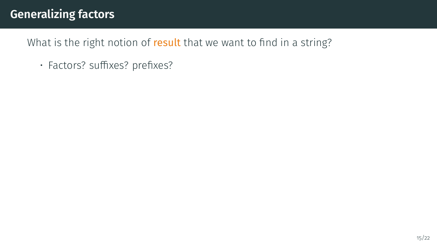# **Generalizing factors**

What is the right notion of result that we want to find in a string?

• Factors? suffixes? prefixes?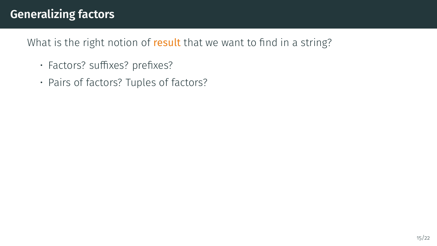# **Generalizing factors**

What is the right notion of result that we want to find in a string?

- Factors? suffixes? prefixes?
- Pairs of factors? Tuples of factors?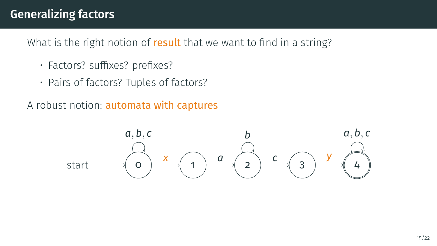# **Generalizing factors**

What is the right notion of result that we want to find in a string?

- Factors? suffixes? prefixes?
- Pairs of factors? Tuples of factors?
- A robust notion: automata with captures

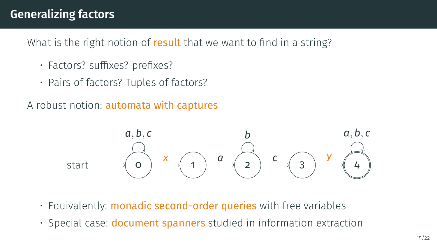# **Generalizing factors**

What is the right notion of result that we want to find in a string?

- Factors? suffixes? prefixes?
- Pairs of factors? Tuples of factors?
- A robust notion: automata with captures



- Equivalently: monadic second-order queries with free variables
- Special case: document spanners studied in information extraction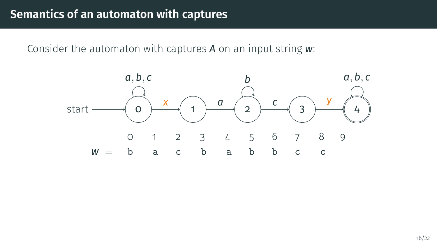Consider the automaton with captures *A* on an input string *w*:

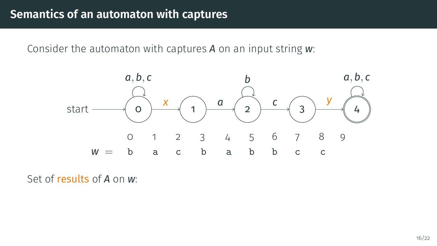Consider the automaton with captures *A* on an input string *w*:



Set of results of *A* on *w*: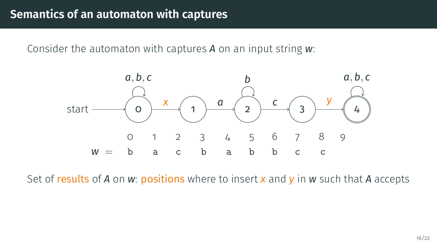Consider the automaton with captures *A* on an input string *w*:



Set of results of *A* on *w*: positions where to insert *x* and *y* in *w* such that *A* accepts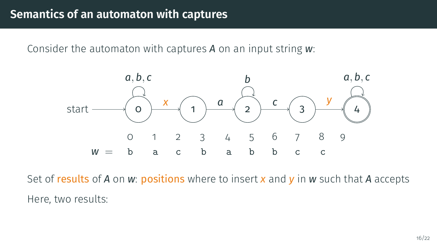Consider the automaton with captures *A* on an input string *w*:



Set of results of *A* on *w*: positions where to insert *x* and *y* in *w* such that *A* accepts Here, two results: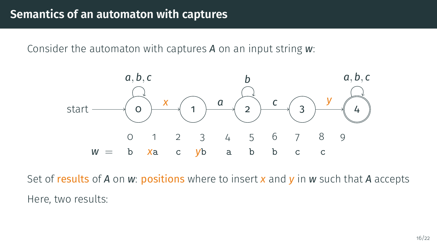Consider the automaton with captures *A* on an input string *w*:



Set of results of *A* on *w*: positions where to insert *x* and *y* in *w* such that *A* accepts Here, two results: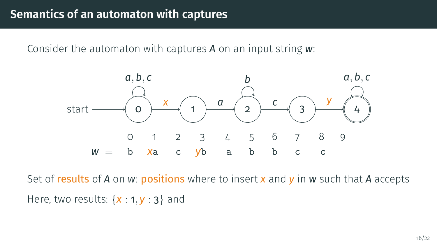Consider the automaton with captures *A* on an input string *w*:



Set of results of *A* on *w*: positions where to insert *x* and *y* in *w* such that *A* accepts Here, two results: {*x* : 1, *y* : 3} and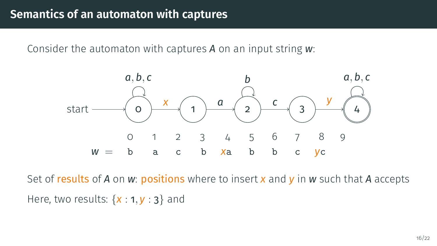Consider the automaton with captures *A* on an input string *w*:



Set of results of *A* on *w*: positions where to insert *x* and *y* in *w* such that *A* accepts Here, two results: {*x* : 1, *y* : 3} and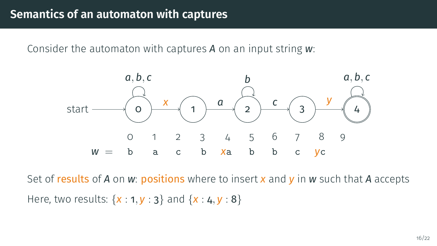Consider the automaton with captures *A* on an input string *w*:



Set of results of *A* on *w*: positions where to insert *x* and *y* in *w* such that *A* accepts Here, two results: {*x* : 1, *y* : 3} and {*x* : 4, *y* : 8}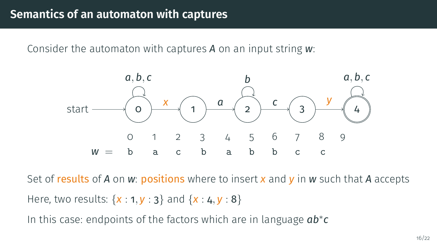Consider the automaton with captures *A* on an input string *w*:



Set of results of *A* on *w*: positions where to insert *x* and *y* in *w* such that *A* accepts Here, two results: {*x* : 1, *y* : 3} and {*x* : 4, *y* : 8}

In this case: endpoints of the factors which are in language *ab*<sup>∗</sup> *c*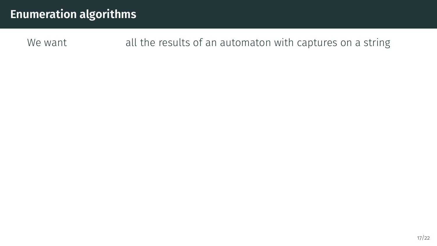We want all the results of an automaton with captures on a string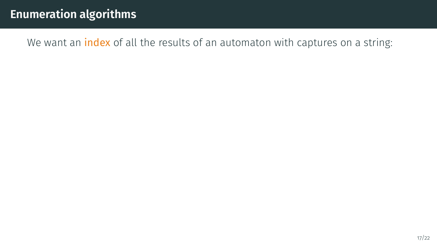We want an *index* of all the results of an automaton with captures on a string: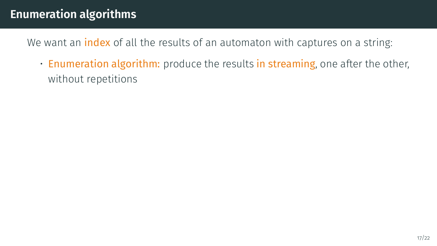We want an *index* of all the results of an automaton with captures on a string:

• Enumeration algorithm: produce the results in streaming, one after the other, without repetitions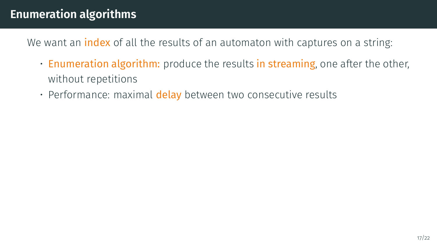We want an **index** of all the results of an automaton with captures on a string:

- Enumeration algorithm: produce the results in streaming, one after the other, without repetitions
- Performance: maximal delay between two consecutive results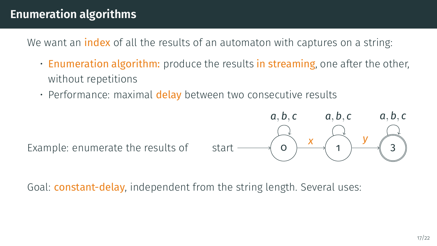We want an **index** of all the results of an automaton with captures on a string:

- Enumeration algorithm: produce the results in streaming, one after the other, without repetitions
- Performance: maximal delay between two consecutive results

Example: enumerate the results of start  $\longrightarrow$  0



Goal: **constant-delay**, independent from the string length. Several uses: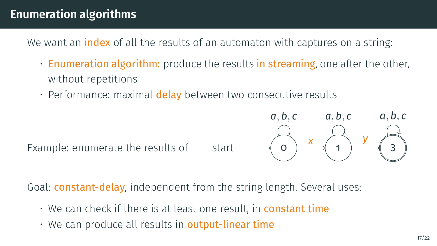We want an **index** of all the results of an automaton with captures on a string:

- Enumeration algorithm: produce the results in streaming, one after the other, without repetitions
- Performance: maximal delay between two consecutive results



Goal: **constant-delay**, independent from the string length. Several uses:

- We can check if there is at least one result, in **constant time**
- We can produce all results in **output-linear time**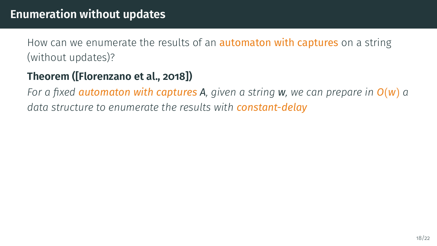#### **Theorem ([\[Florenzano et al., 2018\]](#page-111-0))**

*For a fixed automaton with captures A, given a string w, we can prepare in O*(*w*) *a data structure to enumerate the results with constant-delay*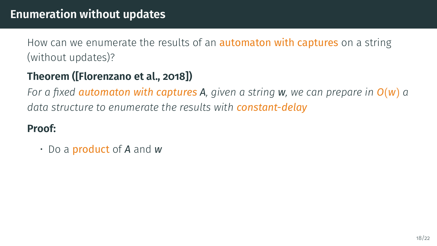# **Theorem ([\[Florenzano et al., 2018\]](#page-111-0))**

*For a fixed automaton with captures A, given a string w, we can prepare in O*(*w*) *a data structure to enumerate the results with constant-delay*

### **Proof:**

• Do a product of *A* and *w*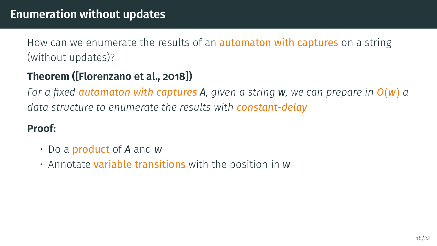# **Theorem ([\[Florenzano et al., 2018\]](#page-111-0))**

*For a fixed automaton with captures A, given a string w, we can prepare in O*(*w*) *a data structure to enumerate the results with constant-delay*

- Do a product of *A* and *w*
- Annotate variable transitions with the position in *w*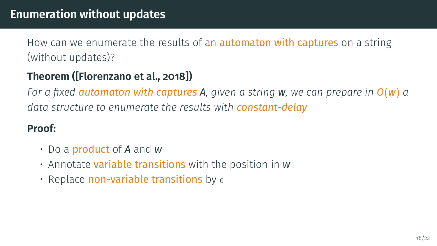# **Theorem ([\[Florenzano et al., 2018\]](#page-111-0))**

*For a fixed automaton with captures A, given a string w, we can prepare in O*(*w*) *a data structure to enumerate the results with constant-delay*

- Do a product of *A* and *w*
- Annotate variable transitions with the position in *w*
- Replace non-variable transitions by  $\epsilon$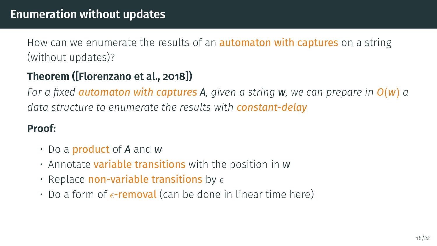# **Theorem ([\[Florenzano et al., 2018\]](#page-111-0))**

*For a fixed automaton with captures A, given a string w, we can prepare in O*(*w*) *a data structure to enumerate the results with constant-delay*

- Do a product of *A* and *w*
- Annotate variable transitions with the position in *w*
- Replace non-variable transitions by  $\epsilon$
- Do a form of  $\epsilon$ -removal (can be done in linear time here)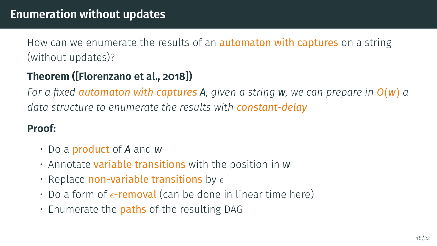# **Theorem ([\[Florenzano et al., 2018\]](#page-111-0))**

*For a fixed automaton with captures A, given a string w, we can prepare in O*(*w*) *a data structure to enumerate the results with constant-delay*

- Do a product of *A* and *w*
- Annotate variable transitions with the position in *w*
- Replace non-variable transitions by  $\epsilon$
- Do a form of  $\epsilon$ -removal (can be done in linear time here)
- $\cdot$  Enumerate the **paths** of the resulting DAG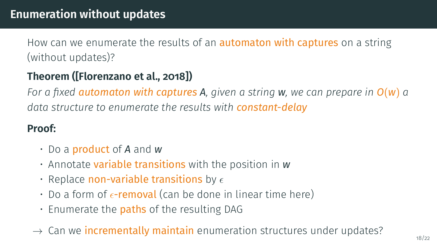# **Theorem ([\[Florenzano et al., 2018\]](#page-111-0))**

*For a fixed automaton with captures A, given a string w, we can prepare in O*(*w*) *a data structure to enumerate the results with constant-delay*

- Do a product of *A* and *w*
- Annotate variable transitions with the position in *w*
- Replace non-variable transitions by  $\epsilon$
- Do a form of  $\epsilon$ -removal (can be done in linear time here)
- $\cdot$  Enumerate the **paths** of the resulting DAG
- $\rightarrow$  Can we incrementally maintain enumeration structures under updates?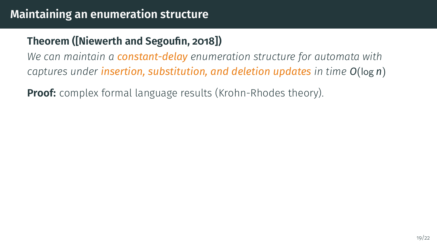## **Theorem ([\[Niewerth and Segoufin, 2018\]](#page-112-0))**

*We can maintain a constant-delay enumeration structure for automata with captures under insertion, substitution, and deletion updates in time O*(log *n*)

**Proof:** complex formal language results (Krohn-Rhodes theory).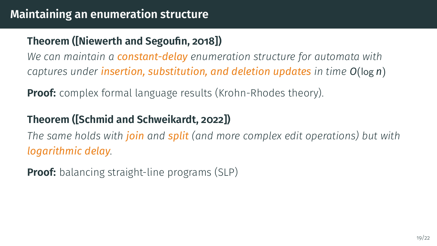# **Theorem ([\[Niewerth and Segoufin, 2018\]](#page-112-0))**

*We can maintain a constant-delay enumeration structure for automata with captures under insertion, substitution, and deletion updates in time O*(log *n*)

**Proof:** complex formal language results (Krohn-Rhodes theory).

## **Theorem ([\[Schmid and Schweikardt, 2022\]](#page-112-1))**

*The same holds with join and split (and more complex edit operations) but with logarithmic delay.*

**Proof:** balancing straight-line programs (SLP)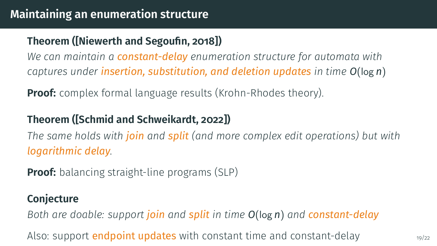## **Theorem ([\[Niewerth and Segoufin, 2018\]](#page-112-0))**

*We can maintain a constant-delay enumeration structure for automata with captures under insertion, substitution, and deletion updates in time O*(log *n*)

**Proof:** complex formal language results (Krohn-Rhodes theory).

## **Theorem ([\[Schmid and Schweikardt, 2022\]](#page-112-1))**

*The same holds with join and split (and more complex edit operations) but with logarithmic delay.*

**Proof:** balancing straight-line programs (SLP)

#### **Conjecture**

*Both are doable: support join and split in time O*(log *n*) *and constant-delay*

Also: support **endpoint updates** with constant time and constant-delay  $\frac{1}{19/22}$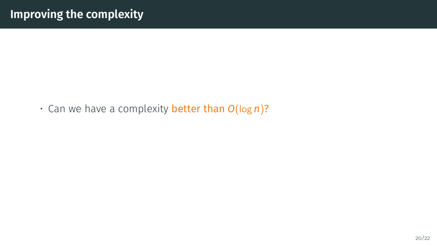• Can we have a complexity better than *O*(log *n*)?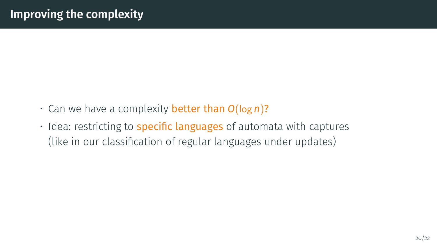- Can we have a complexity better than *O*(log *n*)?
- Idea: restricting to **specific languages** of automata with captures (like in our classification of regular languages under updates)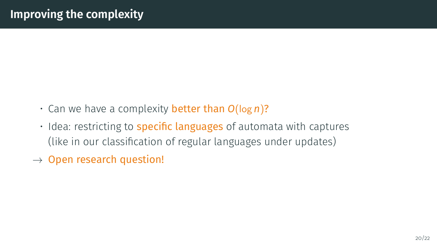- Can we have a complexity better than *O*(log *n*)?
- Idea: restricting to **specific languages** of automata with captures (like in our classification of regular languages under updates)
- $\rightarrow$  Open research question!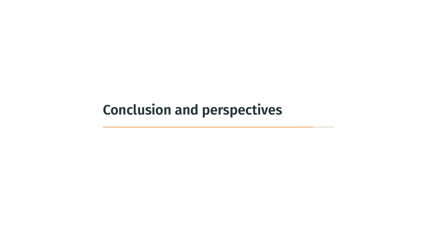<span id="page-102-0"></span>**[Conclusion and perspectives](#page-102-0)**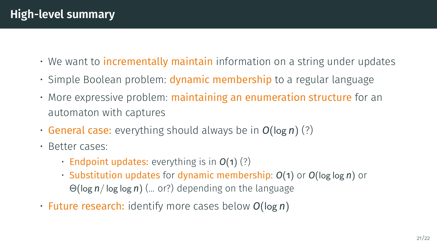- We want to incrementally maintain information on a string under updates
- Simple Boolean problem: **dynamic membership** to a regular language
- More expressive problem: **maintaining an enumeration structure** for an automaton with captures
- General case: everything should always be in *O*(log *n*) (?)
- Better cases:
	- Endpoint updates: everything is in *O*(1) (?)
	- Substitution updates for dynamic membership: *O*(1) or *O*(log log *n*) or Θ(log *n*/ log log *n*) (... or?) depending on the language
- Future research: identify more cases below *O*(log *n*)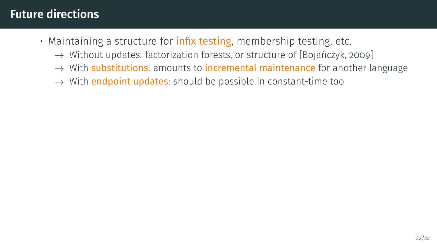- $\cdot$  Maintaining a structure for **infix testing**, membership testing, etc.
	- $\rightarrow$  Without updates: factorization forests, or structure of [Bojańczyk, 2009]
	- $\rightarrow$  With substitutions: amounts to incremental maintenance for another language
	- $\rightarrow$  With endpoint updates: should be possible in constant-time too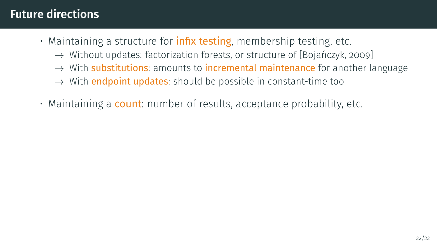- $\cdot$  Maintaining a structure for **infix testing**, membership testing, etc.
	- $\rightarrow$  Without updates: factorization forests, or structure of [Bojańczyk, 2009]
	- $\rightarrow$  With substitutions: amounts to incremental maintenance for another language
	- $\rightarrow$  With endpoint updates: should be possible in constant-time too
- Maintaining a **count**: number of results, acceptance probability, etc.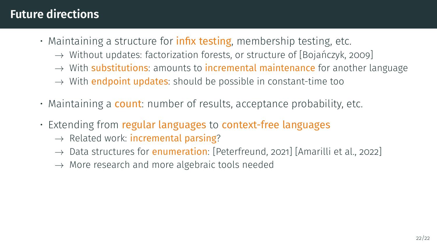- $\cdot$  Maintaining a structure for **infix testing**, membership testing, etc.
	- $\rightarrow$  Without updates: factorization forests, or structure of [Bojańczyk, 2009]
	- $\rightarrow$  With substitutions: amounts to incremental maintenance for another language
	- $\rightarrow$  With endpoint updates: should be possible in constant-time too
- Maintaining a **count**: number of results, acceptance probability, etc.
- Extending from regular languages to context-free languages
	- $\rightarrow$  Related work: incremental parsing?
	- $\rightarrow$  Data structures for **enumeration**: [\[Peterfreund, 2021\]](#page-112-2) [\[Amarilli et al., 2022\]](#page-109-0)
	- $\rightarrow$  More research and more algebraic tools needed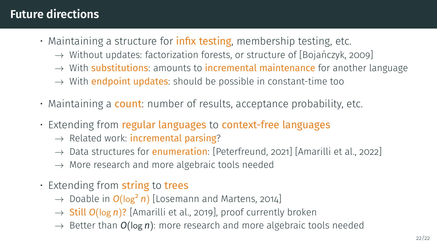- $\cdot$  Maintaining a structure for **infix testing**, membership testing, etc.
	- $\rightarrow$  Without updates: factorization forests, or structure of [Bojańczyk, 2009]
	- $\rightarrow$  With substitutions: amounts to incremental maintenance for another language
	- $\rightarrow$  With endpoint updates: should be possible in constant-time too
- Maintaining a **count**: number of results, acceptance probability, etc.
- Extending from regular languages to context-free languages
	- $\rightarrow$  Related work: incremental parsing?
	- $\rightarrow$  Data structures for **enumeration**: [\[Peterfreund, 2021\]](#page-112-2) [\[Amarilli et al., 2022\]](#page-109-0)
	- $\rightarrow$  More research and more algebraic tools needed
- Extending from string to trees
	- → Doable in *O*(log<sup>2</sup> *n*) [\[Losemann and Martens, 2014\]](#page-111-1)
	- → Still *O*(log *n*)? [\[Amarilli et al., 2019\]](#page-109-1), proof currently broken
	- $\rightarrow$  Better than  $O(\log n)$ : more research and more algebraic tools needed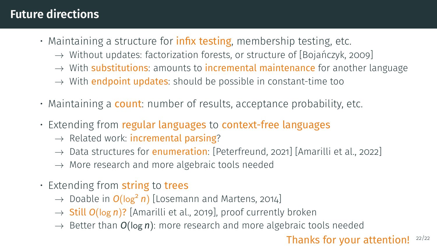### **Future directions**

- Maintaining a structure for **infix testing**, membership testing, etc.
	- $\rightarrow$  Without updates: factorization forests, or structure of [Bojańczyk, 2009]
	- $\rightarrow$  With substitutions: amounts to incremental maintenance for another language
	- $\rightarrow$  With endpoint updates: should be possible in constant-time too
- Maintaining a **count**: number of results, acceptance probability, etc.
- Extending from regular languages to context-free languages
	- $\rightarrow$  Related work: incremental parsing?
	- $\rightarrow$  Data structures for **enumeration**: [\[Peterfreund, 2021\]](#page-112-0) [\[Amarilli et al., 2022\]](#page-109-0)
	- $\rightarrow$  More research and more algebraic tools needed
- Extending from string to trees
	- → Doable in *O*(log<sup>2</sup> *n*) [\[Losemann and Martens, 2014\]](#page-111-0)
	- → Still *O*(log *n*)? [\[Amarilli et al., 2019\]](#page-109-1), proof currently broken
	- $\rightarrow$  Better than  $O(\log n)$ : more research and more algebraic tools needed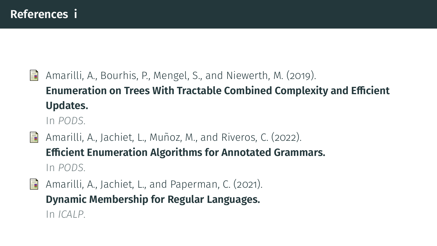<span id="page-109-1"></span>Ħ Amarilli, A., Bourhis, P., Mengel, S., and Niewerth, M. (2019). **[Enumeration on Trees With Tractable Combined Complexity and Efficient](https://arxiv.org/abs/1812.09519) [Updates.](https://arxiv.org/abs/1812.09519)**

In *[PODS](https://sigmod2019.org/)*.

- <span id="page-109-0"></span>Amarilli, A., Jachiet, L., Muñoz, M., and Riveros, C. (2022). 晶 **[Efficient Enumeration Algorithms for Annotated Grammars.](https://arxiv.org/abs/2201.00549)** In *[PODS](https://2022.sigmod.org/)*.
- 量 Amarilli, A., Jachiet, L., and Paperman, C. (2021). **[Dynamic Membership for Regular Languages.](http://arxiv.org/abs/2102.07728)** In *[ICALP](https://easyconferences.eu/icalp2021/)*.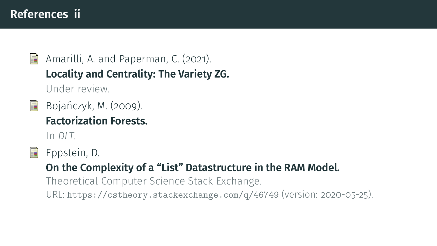#### **References ii**

Ħ

Amarilli, A. and Paperman, C. (2021). **[Locality and Centrality: The Variety ZG.](http://arxiv.org/abs/2102.07724)** Under review.

<span id="page-110-0"></span> $\Box$  Bojańczyk, M. (2009). **[Factorization Forests.](https://www.mimuw.edu.pl/~bojan/papers/forests-dlt.pdf)**

In *DLT*.



Eppstein, D.

#### **On the Complexity of a "List" Datastructure in the RAM Model.**

Theoretical Computer Science Stack Exchange.

URL: <https://cstheory.stackexchange.com/q/46749> (version: 2020-05-25).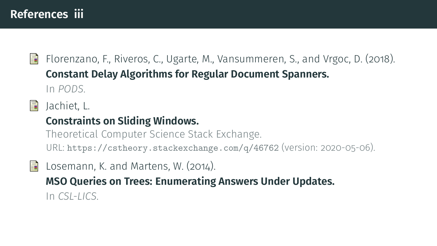Ħ Florenzano, F., Riveros, C., Ugarte, M., Vansummeren, S., and Vrgoc, D. (2018). **[Constant Delay Algorithms for Regular Document Spanners.](https://www.mimuw.edu.pl/~bojan/papers/forests-dlt.pdf)** In *PODS*.

Jachiet, L. 畐

#### **Constraints on Sliding Windows.**

Theoretical Computer Science Stack Exchange. URL: <https://cstheory.stackexchange.com/q/46762> (version: 2020-05-06).

<span id="page-111-0"></span>F Losemann, K. and Martens, W. (2014). **[MSO Queries on Trees: Enumerating Answers Under Updates.](http://www.theoinf.uni-bayreuth.de/download/lics14-preprint.pdf)** In *CSL-LICS*.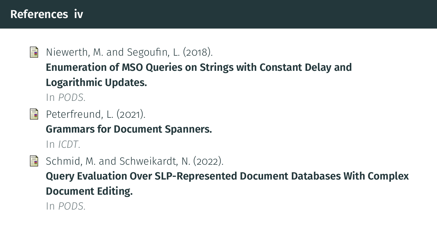#### **References iv**

#### Niewerth, M. and Segoufin, L. (2018). Ħ **[Enumeration of MSO Queries on Strings with Constant Delay and](https://www.di.ens.fr/~segoufin/Papers/Mypapers/enum-update-words.pdf) [Logarithmic Updates.](https://www.di.ens.fr/~segoufin/Papers/Mypapers/enum-update-words.pdf)**

In *PODS*.

#### <span id="page-112-0"></span>量 Peterfreund, L. (2021).

**[Grammars for Document Spanners.](https://drops.dagstuhl.de/opus/volltexte/2021/13715/pdf/LIPIcs-ICDT-2021-7.pdf)**

In *ICDT*.

- 
- Schmid, M. and Schweikardt, N. (2022).

**[Query Evaluation Over SLP-Represented Document Databases With Complex](https://hal.archives-ouvertes.fr/hal-03652005/) [Document Editing.](https://hal.archives-ouvertes.fr/hal-03652005/)**

In *PODS*.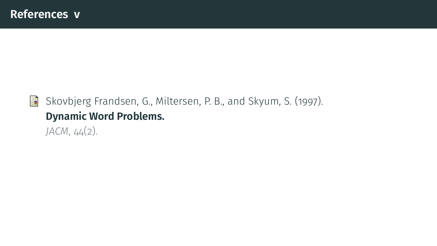

#### Skovbjerg Frandsen, G., Miltersen, P. B., and Skyum, S. (1997). **Dynamic Word Problems.** *JACM*, 44(2).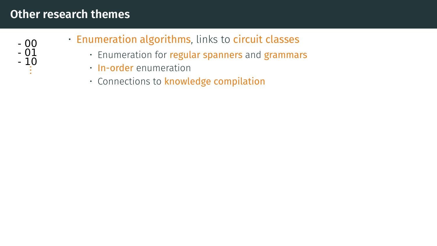

- Enumeration algorithms, links to circuit classes
	- Enumeration for regular spanners and grammars
	- In-order enumeration
	- Connections to knowledge compilation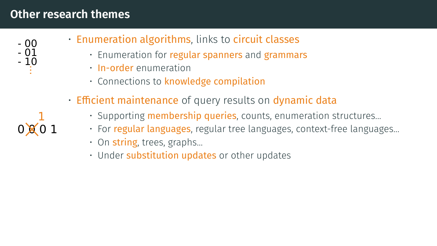

 $0 \times 0$ 1

- Enumeration algorithms, links to circuit classes
	- Enumeration for regular spanners and grammars
	- In-order enumeration
	- Connections to knowledge compilation
- Efficient maintenance of query results on dynamic data
	- Supporting **membership queries**, counts, enumeration structures...
	- For regular languages, regular tree languages, context-free languages...
	- $\cdot$  On string, trees, graphs...
	- Under substitution updates or other updates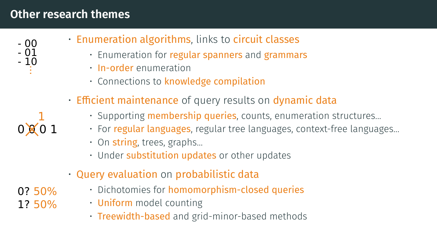

- Enumeration algorithms, links to circuit classes
	- Enumeration for regular spanners and grammars
	- In-order enumeration
	- Connections to knowledge compilation
- Efficient maintenance of query results on dynamic data
	- Supporting **membership queries**, counts, enumeration structures...
	- For regular languages, regular tree languages, context-free languages...
	- $\cdot$  On string, trees, graphs...
	- Under substitution updates or other updates
- Query evaluation on probabilistic data
	- Dichotomies for homomorphism-closed queries
	- **Uniform** model counting
	- Treewidth-based and grid-minor-based methods

0? 50% 1? 50%

 $0 \times 01$ 1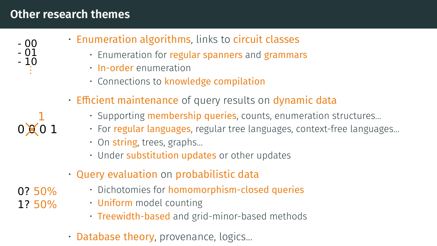

- Enumeration algorithms, links to circuit classes
	- Enumeration for regular spanners and grammars
	- In-order enumeration
	- Connections to knowledge compilation
- Efficient maintenance of query results on dynamic data
	- Supporting **membership queries**, counts, enumeration structures...
	- For regular languages, regular tree languages, context-free languages...
	- $\cdot$  On string, trees, graphs...
	- Under substitution updates or other updates
- Query evaluation on probabilistic data
	- Dichotomies for homomorphism-closed queries
	- **Uniform** model counting
	- Treewidth-based and grid-minor-based methods
- Database theory, provenance, logics...
- 0? 50% 1? 50%

 $0 \times 01$ 1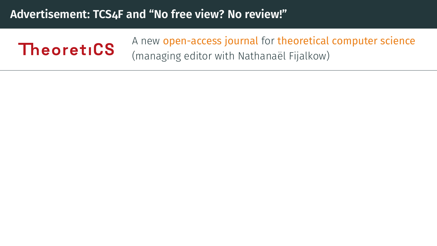#### **Advertisement: TCS4F and "No free view? No review!"**

## **TheoretiCS**

A new open-access journal for theoretical computer science (managing editor with Nathanaël Fijalkow)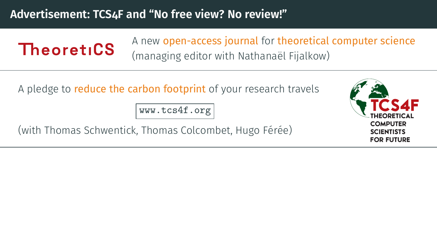#### **Advertisement: TCS4F and "No free view? No review!"**

TheoretiCS

A new open-access journal for theoretical computer science (managing editor with Nathanaël Fijalkow)

A pledge to **reduce the carbon footprint** of your research travels

<www.tcs4f.org>

(with Thomas Schwentick, Thomas Colcombet, Hugo Férée)